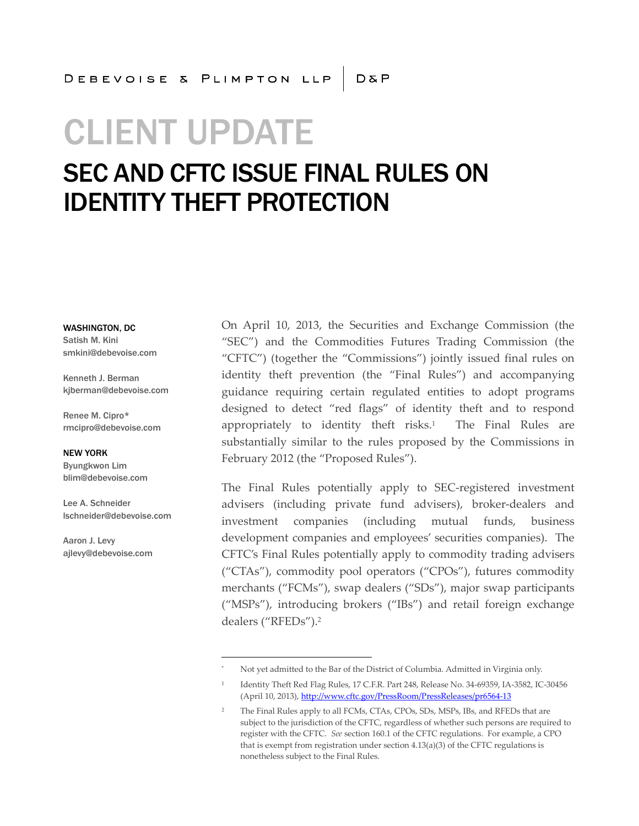# CLIENT UPDATE

# SEC AND CFTC ISSUE FINAL RULES ON IDENTITY THEFT PROTECTION

WASHINGTON, DC Satish M. Kini smkini@debevoise.com

Kenneth J. Berman kjberman@debevoise.com

Renee M. Cipro\* rmcipro@debevoise.com

NEW YORK Byungkwon Lim blim@debevoise.com

Lee A. Schneider lschneider@debevoise.com

Aaron J. Levy ajlevy@debevoise.com On April 10, 2013, the Securities and Exchange Commission (the "SEC") and the Commodities Futures Trading Commission (the "CFTC") (together the "Commissions") jointly issued final rules on identity theft prevention (the "Final Rules") and accompanying guidance requiring certain regulated entities to adopt programs designed to detect "red flags" of identity theft and to respond appropriately to identity theft risks.<sup>1</sup> The Final Rules are substantially similar to the rules proposed by the Commissions in February 2012 (the "Proposed Rules").

The Final Rules potentially apply to SEC-registered investment advisers (including private fund advisers), broker-dealers and investment companies (including mutual funds, business development companies and employees' securities companies). The CFTC's Final Rules potentially apply to commodity trading advisers ("CTAs"), commodity pool operators ("CPOs"), futures commodity merchants ("FCMs"), swap dealers ("SDs"), major swap participants ("MSPs"), introducing brokers ("IBs") and retail foreign exchange dealers ("RFEDs").<sup>2</sup>

Not yet admitted to the Bar of the District of Columbia. Admitted in Virginia only.

<sup>1</sup> Identity Theft Red Flag Rules, 17 C.F.R. Part 248, Release No. 34-69359, IA-3582, IC-30456 (April 10, 2013), http://www.cftc.gov/PressRoom/PressReleases/pr6564-13

The Final Rules apply to all FCMs, CTAs, CPOs, SDs, MSPs, IBs, and RFEDs that are subject to the jurisdiction of the CFTC, regardless of whether such persons are required to register with the CFTC. *See* section 160.1 of the CFTC regulations. For example, a CPO that is exempt from registration under section 4.13(a)(3) of the CFTC regulations is nonetheless subject to the Final Rules.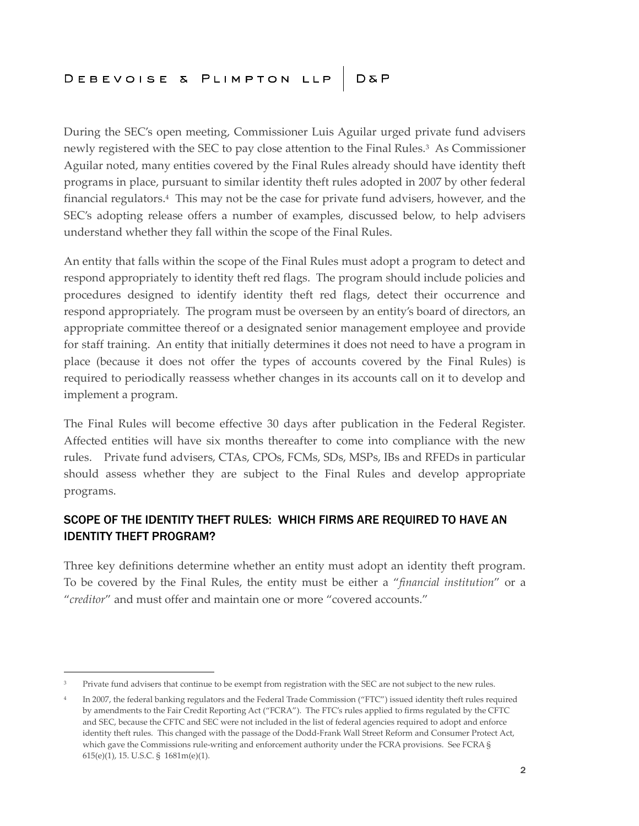During the SEC's open meeting, Commissioner Luis Aguilar urged private fund advisers newly registered with the SEC to pay close attention to the Final Rules.<sup>3</sup> As Commissioner Aguilar noted, many entities covered by the Final Rules already should have identity theft programs in place, pursuant to similar identity theft rules adopted in 2007 by other federal financial regulators.<sup>4</sup> This may not be the case for private fund advisers, however, and the SEC's adopting release offers a number of examples, discussed below, to help advisers understand whether they fall within the scope of the Final Rules.

An entity that falls within the scope of the Final Rules must adopt a program to detect and respond appropriately to identity theft red flags. The program should include policies and procedures designed to identify identity theft red flags, detect their occurrence and respond appropriately. The program must be overseen by an entity's board of directors, an appropriate committee thereof or a designated senior management employee and provide for staff training. An entity that initially determines it does not need to have a program in place (because it does not offer the types of accounts covered by the Final Rules) is required to periodically reassess whether changes in its accounts call on it to develop and implement a program.

The Final Rules will become effective 30 days after publication in the Federal Register. Affected entities will have six months thereafter to come into compliance with the new rules. Private fund advisers, CTAs, CPOs, FCMs, SDs, MSPs, IBs and RFEDs in particular should assess whether they are subject to the Final Rules and develop appropriate programs.

# SCOPE OF THE IDENTITY THEFT RULES: WHICH FIRMS ARE REQUIRED TO HAVE AN IDENTITY THEFT PROGRAM?

Three key definitions determine whether an entity must adopt an identity theft program. To be covered by the Final Rules, the entity must be either a "*financial institution*" or a "*creditor*" and must offer and maintain one or more "covered accounts."

<sup>&</sup>lt;sup>3</sup> Private fund advisers that continue to be exempt from registration with the SEC are not subject to the new rules.

<sup>4</sup> In 2007, the federal banking regulators and the Federal Trade Commission ("FTC") issued identity theft rules required by amendments to the Fair Credit Reporting Act ("FCRA"). The FTC's rules applied to firms regulated by the CFTC and SEC, because the CFTC and SEC were not included in the list of federal agencies required to adopt and enforce identity theft rules. This changed with the passage of the Dodd-Frank Wall Street Reform and Consumer Protect Act, which gave the Commissions rule-writing and enforcement authority under the FCRA provisions. See FCRA § 615(e)(1), 15. U.S.C. § 1681m(e)(1).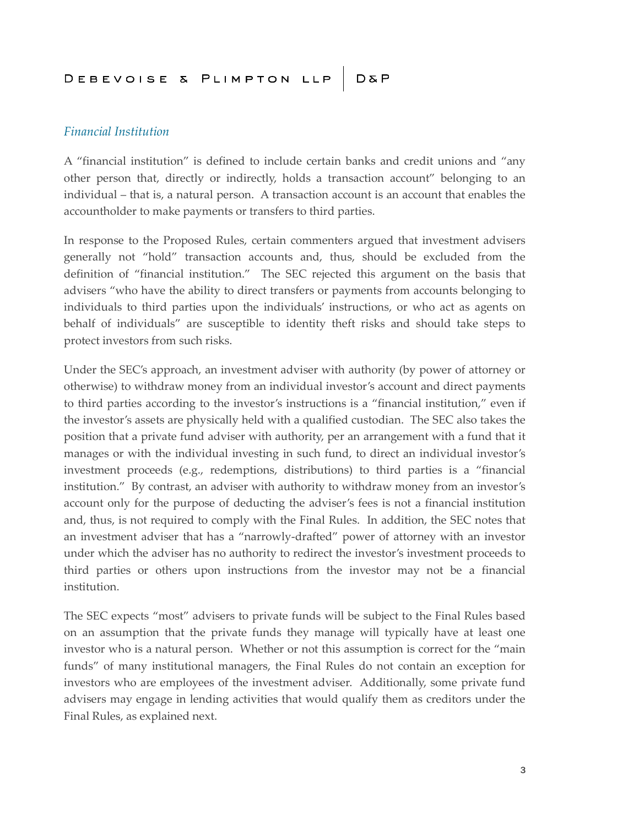#### *Financial Institution*

A "financial institution" is defined to include certain banks and credit unions and "any other person that, directly or indirectly, holds a transaction account" belonging to an individual – that is, a natural person. A transaction account is an account that enables the accountholder to make payments or transfers to third parties.

In response to the Proposed Rules, certain commenters argued that investment advisers generally not "hold" transaction accounts and, thus, should be excluded from the definition of "financial institution." The SEC rejected this argument on the basis that advisers "who have the ability to direct transfers or payments from accounts belonging to individuals to third parties upon the individuals' instructions, or who act as agents on behalf of individuals" are susceptible to identity theft risks and should take steps to protect investors from such risks.

Under the SEC's approach, an investment adviser with authority (by power of attorney or otherwise) to withdraw money from an individual investor's account and direct payments to third parties according to the investor's instructions is a "financial institution," even if the investor's assets are physically held with a qualified custodian. The SEC also takes the position that a private fund adviser with authority, per an arrangement with a fund that it manages or with the individual investing in such fund, to direct an individual investor's investment proceeds (e.g., redemptions, distributions) to third parties is a "financial institution." By contrast, an adviser with authority to withdraw money from an investor's account only for the purpose of deducting the adviser's fees is not a financial institution and, thus, is not required to comply with the Final Rules. In addition, the SEC notes that an investment adviser that has a "narrowly-drafted" power of attorney with an investor under which the adviser has no authority to redirect the investor's investment proceeds to third parties or others upon instructions from the investor may not be a financial institution.

The SEC expects "most" advisers to private funds will be subject to the Final Rules based on an assumption that the private funds they manage will typically have at least one investor who is a natural person. Whether or not this assumption is correct for the "main funds" of many institutional managers, the Final Rules do not contain an exception for investors who are employees of the investment adviser. Additionally, some private fund advisers may engage in lending activities that would qualify them as creditors under the Final Rules, as explained next.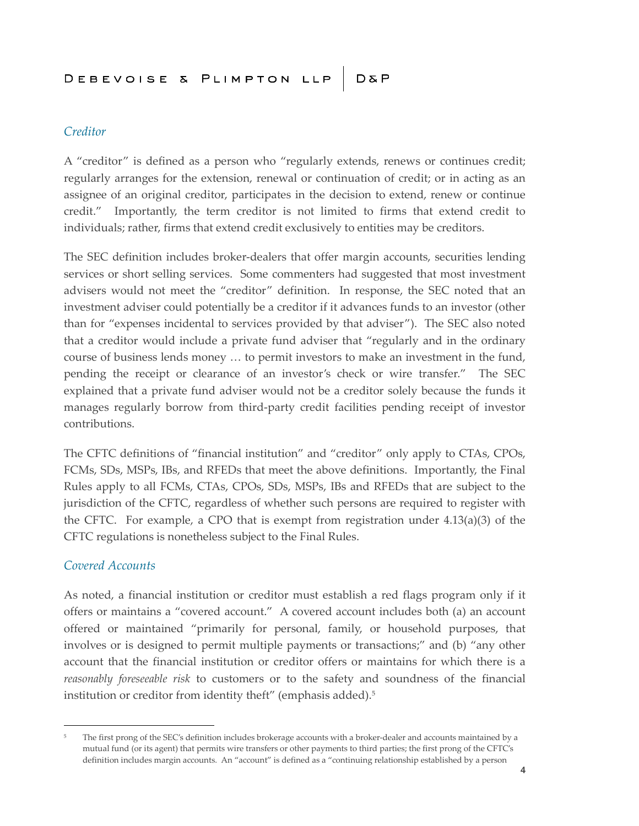## *Creditor*

A "creditor" is defined as a person who "regularly extends, renews or continues credit; regularly arranges for the extension, renewal or continuation of credit; or in acting as an assignee of an original creditor, participates in the decision to extend, renew or continue credit." Importantly, the term creditor is not limited to firms that extend credit to individuals; rather, firms that extend credit exclusively to entities may be creditors.

The SEC definition includes broker-dealers that offer margin accounts, securities lending services or short selling services. Some commenters had suggested that most investment advisers would not meet the "creditor" definition. In response, the SEC noted that an investment adviser could potentially be a creditor if it advances funds to an investor (other than for "expenses incidental to services provided by that adviser"). The SEC also noted that a creditor would include a private fund adviser that "regularly and in the ordinary course of business lends money … to permit investors to make an investment in the fund, pending the receipt or clearance of an investor's check or wire transfer." The SEC explained that a private fund adviser would not be a creditor solely because the funds it manages regularly borrow from third-party credit facilities pending receipt of investor contributions.

The CFTC definitions of "financial institution" and "creditor" only apply to CTAs, CPOs, FCMs, SDs, MSPs, IBs, and RFEDs that meet the above definitions. Importantly, the Final Rules apply to all FCMs, CTAs, CPOs, SDs, MSPs, IBs and RFEDs that are subject to the jurisdiction of the CFTC, regardless of whether such persons are required to register with the CFTC. For example, a CPO that is exempt from registration under  $4.13(a)(3)$  of the CFTC regulations is nonetheless subject to the Final Rules.

## *Covered Accounts*

As noted, a financial institution or creditor must establish a red flags program only if it offers or maintains a "covered account." A covered account includes both (a) an account offered or maintained "primarily for personal, family, or household purposes, that involves or is designed to permit multiple payments or transactions;" and (b) "any other account that the financial institution or creditor offers or maintains for which there is a *reasonably foreseeable risk* to customers or to the safety and soundness of the financial institution or creditor from identity theft" (emphasis added).<sup>5</sup>

<sup>&</sup>lt;sup>5</sup> The first prong of the SEC's definition includes brokerage accounts with a broker-dealer and accounts maintained by a mutual fund (or its agent) that permits wire transfers or other payments to third parties; the first prong of the CFTC's definition includes margin accounts. An "account" is defined as a "continuing relationship established by a person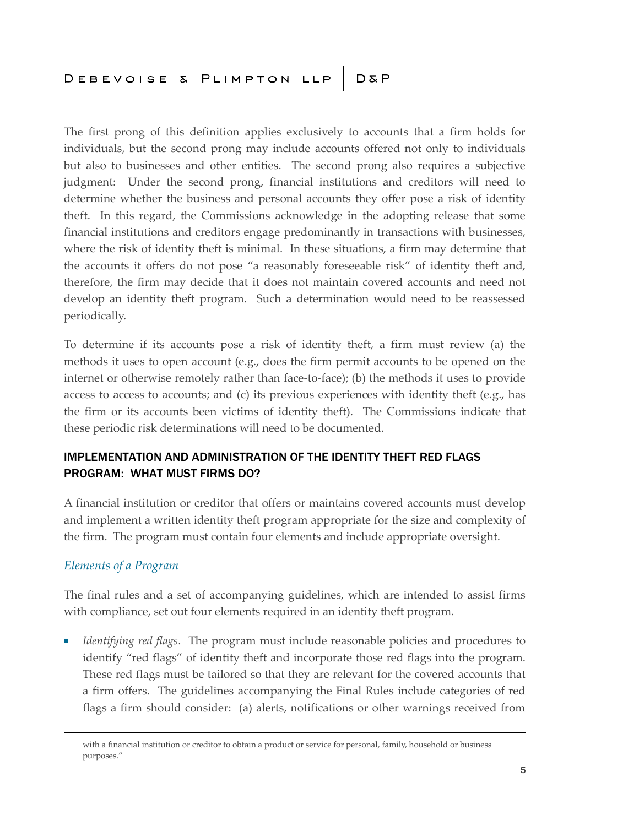The first prong of this definition applies exclusively to accounts that a firm holds for individuals, but the second prong may include accounts offered not only to individuals but also to businesses and other entities. The second prong also requires a subjective judgment: Under the second prong, financial institutions and creditors will need to determine whether the business and personal accounts they offer pose a risk of identity theft. In this regard, the Commissions acknowledge in the adopting release that some financial institutions and creditors engage predominantly in transactions with businesses, where the risk of identity theft is minimal. In these situations, a firm may determine that the accounts it offers do not pose "a reasonably foreseeable risk" of identity theft and, therefore, the firm may decide that it does not maintain covered accounts and need not develop an identity theft program. Such a determination would need to be reassessed periodically.

To determine if its accounts pose a risk of identity theft, a firm must review (a) the methods it uses to open account (e.g., does the firm permit accounts to be opened on the internet or otherwise remotely rather than face-to-face); (b) the methods it uses to provide access to access to accounts; and (c) its previous experiences with identity theft (e.g., has the firm or its accounts been victims of identity theft). The Commissions indicate that these periodic risk determinations will need to be documented.

# IMPLEMENTATION AND ADMINISTRATION OF THE IDENTITY THEFT RED FLAGS PROGRAM: WHAT MUST FIRMS DO?

A financial institution or creditor that offers or maintains covered accounts must develop and implement a written identity theft program appropriate for the size and complexity of the firm. The program must contain four elements and include appropriate oversight.

# *Elements of a Program*

The final rules and a set of accompanying guidelines, which are intended to assist firms with compliance, set out four elements required in an identity theft program.

■ *Identifying red flags*. The program must include reasonable policies and procedures to identify "red flags" of identity theft and incorporate those red flags into the program. These red flags must be tailored so that they are relevant for the covered accounts that a firm offers. The guidelines accompanying the Final Rules include categories of red flags a firm should consider: (a) alerts, notifications or other warnings received from

with a financial institution or creditor to obtain a product or service for personal, family, household or business purposes."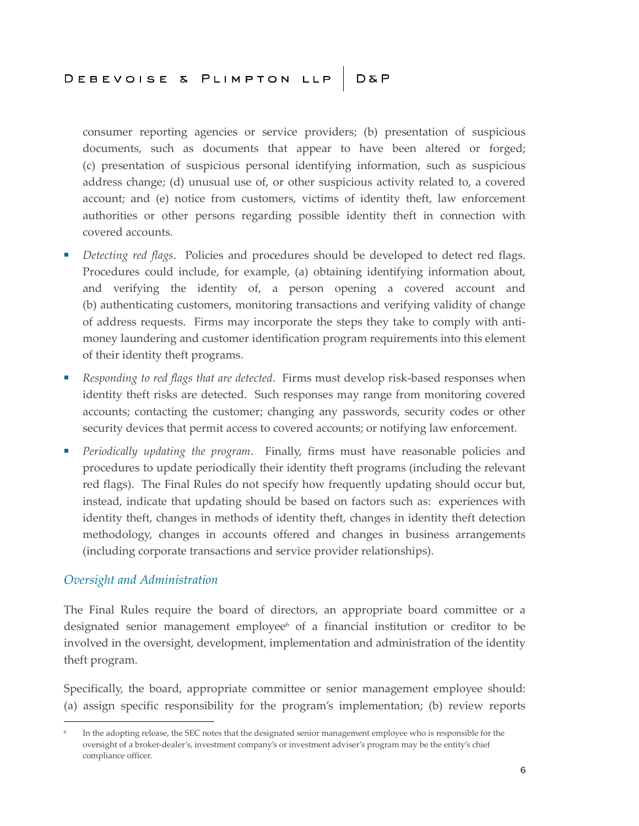consumer reporting agencies or service providers; (b) presentation of suspicious documents, such as documents that appear to have been altered or forged; (c) presentation of suspicious personal identifying information, such as suspicious address change; (d) unusual use of, or other suspicious activity related to, a covered account; and (e) notice from customers, victims of identity theft, law enforcement authorities or other persons regarding possible identity theft in connection with covered accounts.

- *Detecting red flags*. Policies and procedures should be developed to detect red flags. Procedures could include, for example, (a) obtaining identifying information about, and verifying the identity of, a person opening a covered account and (b) authenticating customers, monitoring transactions and verifying validity of change of address requests. Firms may incorporate the steps they take to comply with antimoney laundering and customer identification program requirements into this element of their identity theft programs.
- *Responding to red flags that are detected*. Firms must develop risk-based responses when identity theft risks are detected. Such responses may range from monitoring covered accounts; contacting the customer; changing any passwords, security codes or other security devices that permit access to covered accounts; or notifying law enforcement.
- *Periodically updating the program*. Finally, firms must have reasonable policies and procedures to update periodically their identity theft programs (including the relevant red flags). The Final Rules do not specify how frequently updating should occur but, instead, indicate that updating should be based on factors such as: experiences with identity theft, changes in methods of identity theft, changes in identity theft detection methodology, changes in accounts offered and changes in business arrangements (including corporate transactions and service provider relationships).

## *Oversight and Administration*

The Final Rules require the board of directors, an appropriate board committee or a designated senior management employee<sup>6</sup> of a financial institution or creditor to be involved in the oversight, development, implementation and administration of the identity theft program.

Specifically, the board, appropriate committee or senior management employee should: (a) assign specific responsibility for the program's implementation; (b) review reports

<sup>6</sup> In the adopting release, the SEC notes that the designated senior management employee who is responsible for the oversight of a broker-dealer's, investment company's or investment adviser's program may be the entity's chief compliance officer.